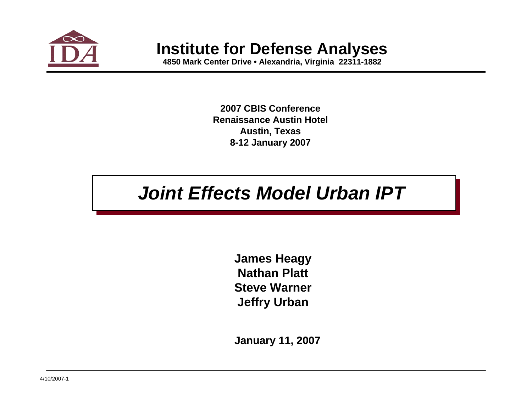

# **Institute for Defense Analyses**

**4850 Mark Center Drive • Alexandria, Virginia 22311-1882**

**2007 CBIS ConferenceRenaissance Austin HotelAustin, Texas 8-12 January 2007**

# *Joint Effects Model Urban IPT*

**James Heagy Nathan PlattSteve WarnerJeffry Urban**

**January 11, 2007**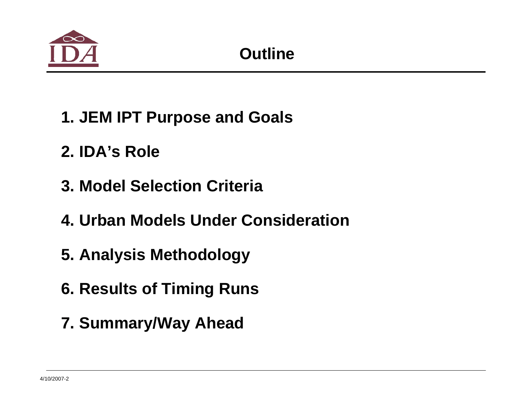

- **1. JEM IPT Purpose and Goals**
- **2. IDA's Role**
- **3. Model Selection Criteria**
- **4. Urban Models Under Consideration**
- **5. Analysis Methodology**
- **6. Results of Timing Runs**
- **7. Summary/Way Ahead**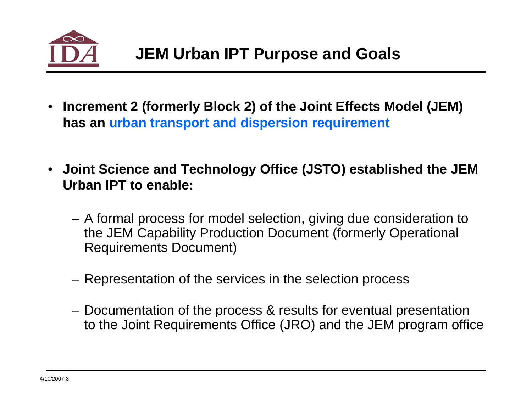

- **Increment 2 (formerly Block 2) of the Joint Effects Model (JEM) has an urban transport and dispersion requirement**
- **Joint Science and Technology Office (JSTO) established the JEM Urban IPT to enable:**
	- A formal process for model selection, giving due consideration to the JEM Capability Production Document (formerly Operational Requirements Document)
	- Representation of the services in the selection process
	- Documentation of the process & results for eventual presentation to the Joint Requirements Office (JRO) and the JEM program office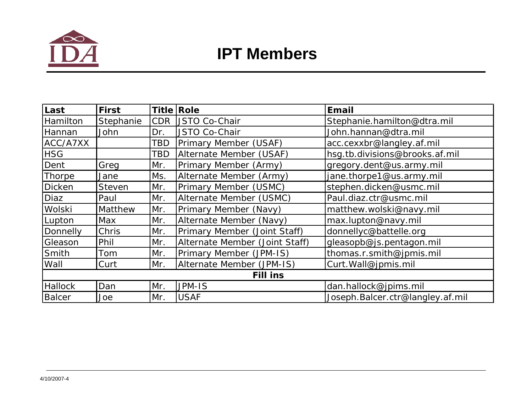

| Last           | <b>First</b>  |            | Title Role                     | <b>Email</b>                     |
|----------------|---------------|------------|--------------------------------|----------------------------------|
| Hamilton       | Stephanie     | <b>CDR</b> | <b>JSTO Co-Chair</b>           | Stephanie.hamilton@dtra.mil      |
| <b>Hannan</b>  | John          | Dr.        | JSTO Co-Chair                  | John.hannan@dtra.mil             |
| ACC/A7XX       |               | TBD        | Primary Member (USAF)          | acc.cexxbr@langley.af.mil        |
| <b>HSG</b>     |               | TBD        | Alternate Member (USAF)        | hsg.tb.divisions@brooks.af.mil   |
| Dent           | Greg          | Mr.        | Primary Member (Army)          | gregory.dent@us.army.mil         |
| Thorpe         | Jane          | Ms.        | Alternate Member (Army)        | jane.thorpe1@us.army.mil         |
| Dicken         | <b>Steven</b> | Mr.        | Primary Member (USMC)          | stephen.dicken@usmc.mil          |
| Diaz           | Paul          | Mr.        | Alternate Member (USMC)        | Paul.diaz.ctr@usmc.mil           |
| Wolski         | Matthew       | Mr.        | Primary Member (Navy)          | matthew.wolski@navy.mil          |
| Lupton         | Max           | Mr.        | Alternate Member (Navy)        | max.lupton@navy.mil              |
| Donnelly       | <b>Chris</b>  | Mr.        | Primary Member (Joint Staff)   | donnellyc@battelle.org           |
| Gleason        | Phil          | Mr.        | Alternate Member (Joint Staff) | gleasopb@js.pentagon.mil         |
| Smith          | Tom           | Mr.        | Primary Member (JPM-IS)        | thomas.r.smith@jpmis.mil         |
| Wall           | Curt          | IMr.       | Alternate Member (JPM-IS)      | Curt. Wall@jpmis.mil             |
|                |               |            | <b>Fill ins</b>                |                                  |
| <b>Hallock</b> | Dan           | Mr.        | JPM-IS                         | dan.hallock@jpims.mil            |
| <b>Balcer</b>  | Joe           | Mr.        | <b>USAF</b>                    | Joseph.Balcer.ctr@langley.af.mil |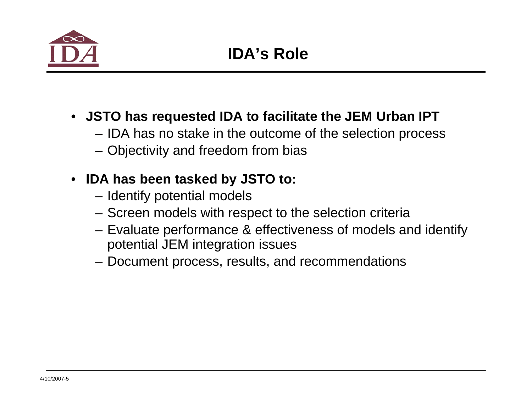

- **JSTO has requested IDA to facilitate the JEM Urban IPT**
	- IDA has no stake in the outcome of the selection process
	- Objectivity and freedom from bias

## • **IDA has been tasked by JSTO to:**

- Identify potential models
- Screen models with respect to the selection criteria
- Evaluate performance & effectiveness of models and identify potential JEM integration issues
- Document process, results, and recommendations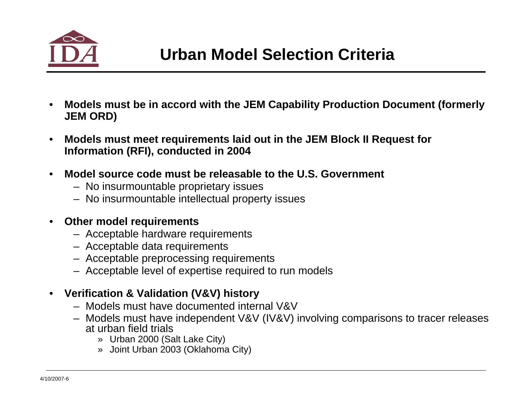

- **Models must be in accord with the JEM Capability Production Document (formerly JEM ORD)**
- **Models must meet requirements laid out in the JEM Block II Request for Information (RFI), conducted in 2004**
- **Model source code must be releasable to the U.S. Government**
	- No insurmountable proprietary issues
	- No insurmountable intellectual property issues

### • **Other model requirements**

- Acceptable hardware requirements
- Acceptable data requirements
- Acceptable preprocessing requirements
- Acceptable level of expertise required to run models

### • **Verification & Validation (V&V) history**

- Models must have documented internal V&V
- Models must have independent V&V (IV&V) involving comparisons to tracer releases at urban field trials
	- » Urban 2000 (Salt Lake City)
	- » Joint Urban 2003 (Oklahoma City)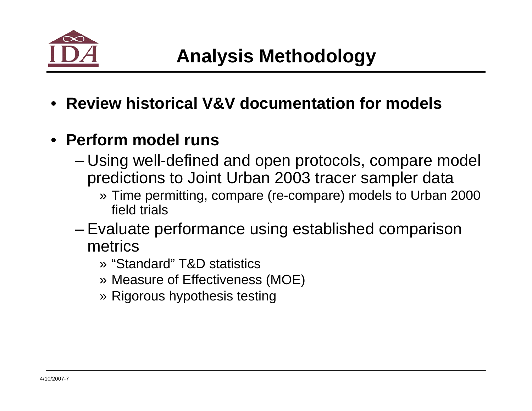

• **Review historical V&V documentation for models**

# • **Perform model runs**

- Using well-defined and open protocols, compare model predictions to Joint Urban 2003 tracer sampler data
	- » Time permitting, compare (re-compare) models to Urban 2000 field trials
- Evaluate performance using established comparison metrics
	- » "Standard" T&D statistics
	- » Measure of Effectiveness (MOE)
	- » Rigorous hypothesis testing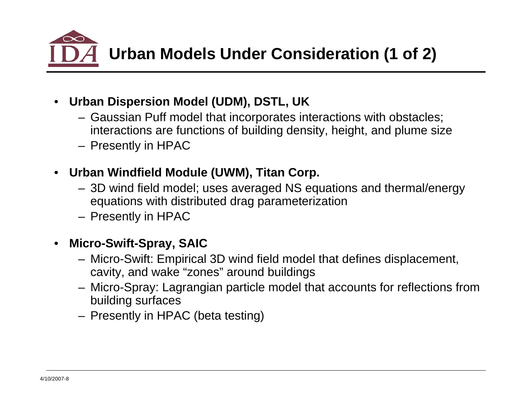

- **Urban Dispersion Model (UDM), DSTL, UK**
	- Gaussian Puff model that incorporates interactions with obstacles; interactions are functions of building density, height, and plume size
	- Presently in HPAC
- **Urban Windfield Module (UWM), Titan Corp.**
	- 3D wind field model; uses averaged NS equations and thermal/energy equations with distributed drag parameterization
	- Presently in HPAC

## • **Micro-Swift-Spray, SAIC**

- Micro-Swift: Empirical 3D wind field model that defines displacement, cavity, and wake "zones" around buildings
- Micro-Spray: Lagrangian particle model that accounts for reflections from building surfaces
- Presently in HPAC (beta testing)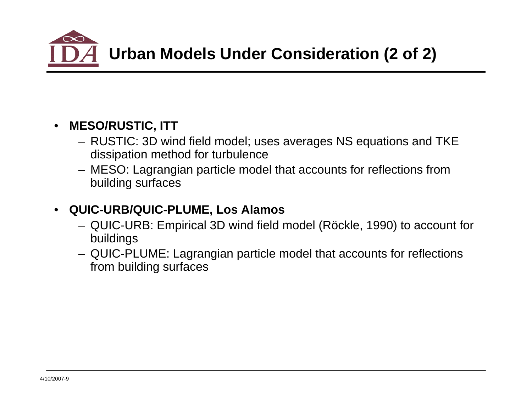

## • **MESO/RUSTIC, ITT**

- RUSTIC: 3D wind field model; uses averages NS equations and TKE dissipation method for turbulence
- MESO: Lagrangian particle model that accounts for reflections from building surfaces

## • **QUIC-URB/QUIC-PLUME, Los Alamos**

- QUIC-URB: Empirical 3D wind field model (Röckle, 1990) to account for buildings
- QUIC-PLUME: Lagrangian particle model that accounts for reflections from building surfaces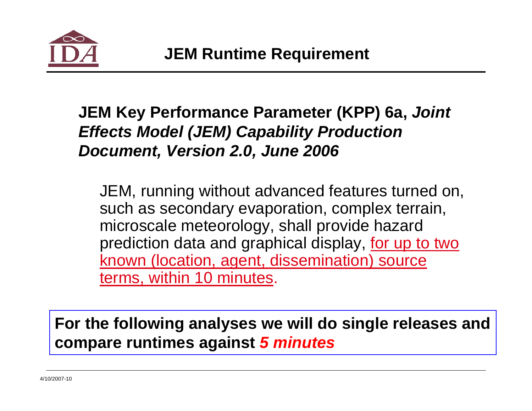

# **JEM Key Performance Parameter (KPP) 6a,** *Joint Effects Model (JEM) Capability Production Document, Version 2.0, June 2006*

JEM, running without advanced features turned on, such as secondary evaporation, complex terrain, microscale meteorology, shall provide hazard prediction data and graphical display, for up to two known (location, agent, dissemination) source terms, within 10 minutes.

**For the following analyses we will do single releases and compare runtimes against** *5 minutes*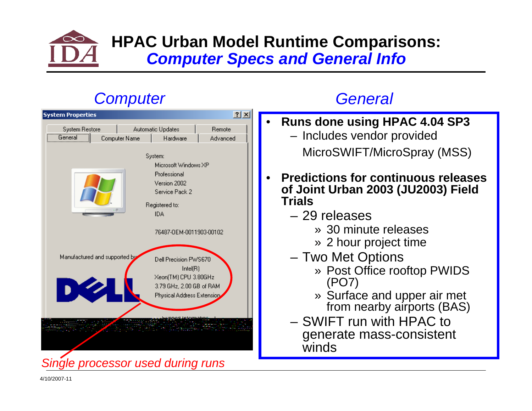

## **HPAC Urban Model Runtime Comparisons:**  *Computer Specs and General Info*

# *Computer*



## *General*

- **Runs done using HPAC 4.04 SP3** – Includes vendor provided MicroSWIFT/MicroSpray (MSS)
- **Predictions for continuous releases of Joint Urban 2003 (JU2003) Field Trials**
	- 29 releases
		- » 30 minute releases
		- » 2 hour project time
	- Two Met Options
		- » Post Office rooftop PWIDS (PO7)
		- » Surface and upper air met from nearby airports (BAS)
	- SWIFT run with HPAC to generate mass-consistent winds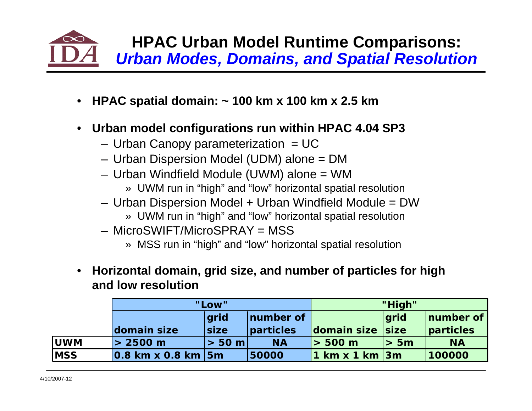

- **HPAC spatial domain: ~ 100 km x 100 km x 2.5 km**
- **Urban model configurations run within HPAC 4.04 SP3**
	- $-$  Urban Canopy parameterization  $=$  UC
	- Urban Dispersion Model (UDM) alone = DM
	- Urban Windfield Module (UWM) alone = WM
		- » UWM run in "high" and "low" horizontal spatial resolution
	- Urban Dispersion Model + Urban Windfield Module = DW
		- » UWM run in "high" and "low" horizontal spatial resolution
	- $-$  MicroSWIFT/MicroSPRAY  $=$  MSS
		- » MSS run in "high" and "low" horizontal spatial resolution
- **Horizontal domain, grid size, and number of particles for high and low resolution**

|            | "Low"                     |             | "High"    |                   |             |           |
|------------|---------------------------|-------------|-----------|-------------------|-------------|-----------|
|            | <b>arid</b>               |             | number of |                   | <b>grid</b> | number of |
|            | domain size               | <b>Size</b> | particles | domain size  size |             | particles |
| <b>UWM</b> | > 2500 m                  | $> 50$ m    | <b>NA</b> | l > 500 m         | > 5m        | <b>NA</b> |
| <b>MSS</b> | $ 0.8$ km x 0.8 km $ 5$ m |             | 50000     |                   |             | 100000    |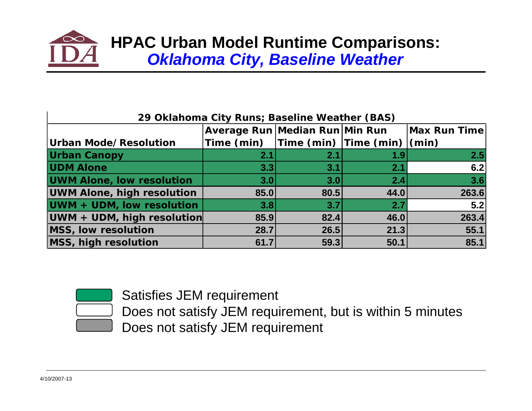

| 29 Oklahoma City Runs; Baseline Weather (BAS) |                                                                                                                 |      |      |                     |  |  |
|-----------------------------------------------|-----------------------------------------------------------------------------------------------------------------|------|------|---------------------|--|--|
|                                               | Average Run Median Run Min Run                                                                                  |      |      | <b>Max Run Time</b> |  |  |
| Urban Mode/Resolution                         | $\mathsf{Time}\ (\mathsf{min})$ $\mathsf{Time}\ (\mathsf{min})\  \mathsf{Time}\ (\mathsf{min})\  \mathsf{min})$ |      |      |                     |  |  |
| <b>Urban Canopy</b>                           | 2.1                                                                                                             | 2.1  | 1.9  | 2.5                 |  |  |
| <b>UDM Alone</b>                              | 3.3                                                                                                             | 3.1  | 2.1  | 6.2                 |  |  |
| <b>UWM Alone, low resolution</b>              | 3.0                                                                                                             | 3.0  | 2.4  | 3.6                 |  |  |
| <b>UWM Alone, high resolution</b>             | 85.0                                                                                                            | 80.5 | 44.0 | 263.6               |  |  |
| UWM + UDM, low resolution                     | 3.8                                                                                                             | 3.7  | 2.7  | 5.2                 |  |  |
| UWM + UDM, high resolution                    | 85.9                                                                                                            | 82.4 | 46.0 | 263.4               |  |  |
| MSS, low resolution                           | 28.7                                                                                                            | 26.5 | 21.3 | 55.1                |  |  |
| <b>MSS, high resolution</b>                   | 61.7                                                                                                            | 59.3 | 50.1 | 85.1                |  |  |



Satisfies JEM requirement



Does not satisfy JEM requirement, but is within 5 minutes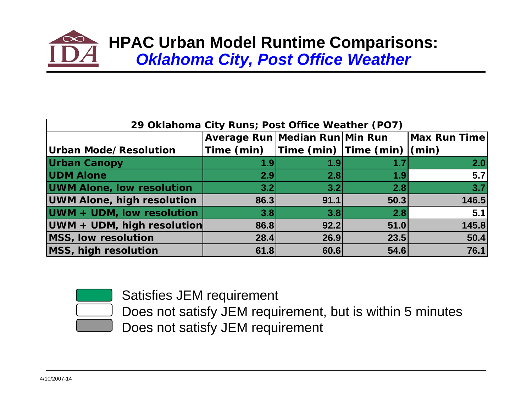

|                                   | Average Run Median Run Min Run              |      |      | Max Run Time |
|-----------------------------------|---------------------------------------------|------|------|--------------|
| <b>Urban Mode/Resolution</b>      | Time (min) $ Time (min)  Time (min)  (min)$ |      |      |              |
| <b>Urban Canopy</b>               | 1.9                                         | 1.9  | 1.7  | 2.0          |
| <b>UDM Alone</b>                  | 2.9                                         | 2.8  | 1.9  | 5.7          |
| <b>UWM Alone, low resolution</b>  | 3.2                                         | 3.2  | 2.8  | 3.7          |
| <b>UWM Alone, high resolution</b> | 86.3                                        | 91.1 | 50.3 | 146.5        |
| UWM + UDM, low resolution         | 3.8                                         | 3.8  | 2.8  | 5.1          |
| UWM + UDM, high resolution        | 86.8                                        | 92.2 | 51.0 | 145.8        |
| MSS, low resolution               | 28.4                                        | 26.9 | 23.5 | 50.4         |
| MSS, high resolution              | 61.8                                        | 60.6 | 54.6 | 76.1         |

Satisfies JEM requirement



Does not satisfy JEM requirement, but is within 5 minutes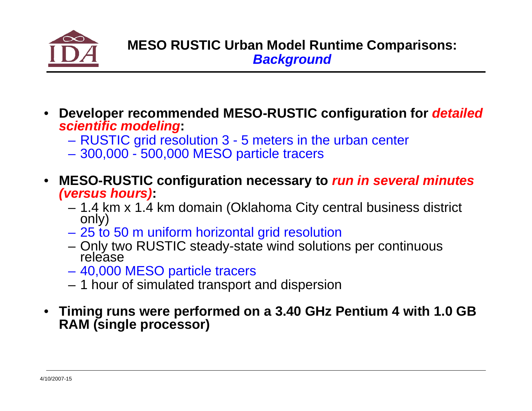

- **Developer recommended MESO-RUSTIC configuration for** *detailed scientific modeling***:**
	- RUSTIC grid resolution 3 5 meters in the urban center
	- 300,000 500,000 MESO particle tracers
- **MESO-RUSTIC configuration necessary to** *run in several minutes (versus hours)***:**
	- 1.4 km x 1.4 km domain (Oklahoma City central business district only)
	- 25 to 50 m uniform horizontal grid resolution
	- Only two RUSTIC steady-state wind solutions per continuous release
	- 40,000 MESO particle tracers
	- 1 hour of simulated transport and dispersion
- **Timing runs were performed on a 3.40 GHz Pentium 4 with 1.0 GB RAM (single processor)**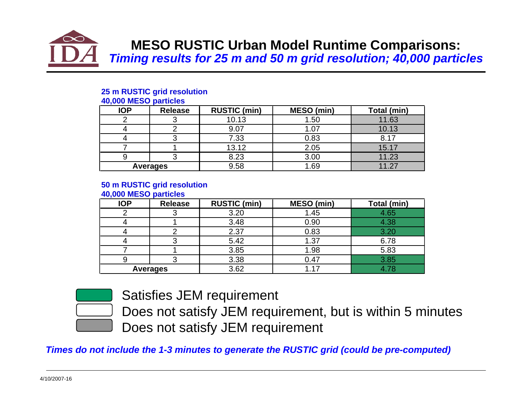

## **MESO RUSTIC Urban Model Runtime Comparisons:**  *Timing results for 25 m and 50 m grid resolution; 40,000 particles*

#### **25 m RUSTIC grid resolution**

|  | 40,000 MESO particles |  |
|--|-----------------------|--|
|--|-----------------------|--|

| <b>IOP</b> | <b>Release</b> | <b>RUSTIC (min)</b> | MESO (min) | Total (min) |
|------------|----------------|---------------------|------------|-------------|
|            |                | 10.13               | 1.50       | 11.63       |
|            |                | 9.07                |            | 10.13       |
|            |                | 7.33                | 0.83       | 8.17        |
|            |                | 13.12               | 2.05       | 15.17       |
|            |                | 8.23                | 3.00       | 11.23       |
|            | Averages       | 9.58                | .69        | 11.2        |

#### **50 m RUSTIC grid resolution**

#### **40,000 MESO particles**

| <b>IOP</b> | <b>Release</b>  | <b>RUSTIC (min)</b> | <b>MESO</b> (min) | Total (min) |
|------------|-----------------|---------------------|-------------------|-------------|
|            |                 | 3.20                | 1.45              | 4.65        |
|            |                 | 3.48                | 0.90              | 4.38        |
|            |                 | 2.37                | 0.83              | 3.20        |
|            |                 | 5.42                | 1.37              | 6.78        |
|            |                 | 3.85                | 1.98              | 5.83        |
|            |                 | 3.38                | 0.47              | 3.85        |
|            | <b>Averages</b> | 3.62                |                   | 4.78        |



Satisfies JEM requirement

Does not satisfy JEM requirement, but is within 5 minutes Does not satisfy JEM requirement

*Times do not include the 1-3 minutes to generate the RUSTIC grid (could be pre-computed)*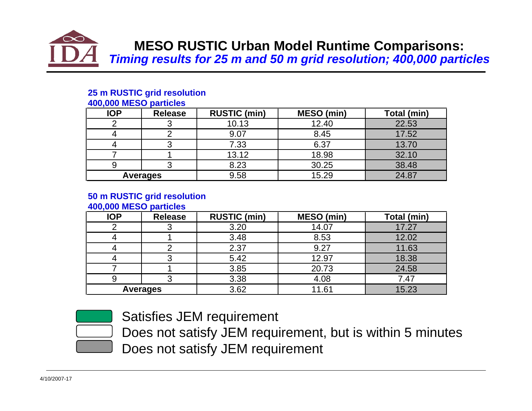

## **MESO RUSTIC Urban Model Runtime Comparisons:**  *Timing results for 25 m and 50 m grid resolution; 400,000 particles*

#### **25 m RUSTIC grid resolution**

| 400,000 MESU DAILICIES |                |                     |            |             |
|------------------------|----------------|---------------------|------------|-------------|
| <b>IOP</b>             | <b>Release</b> | <b>RUSTIC (min)</b> | MESO (min) | Total (min) |
|                        |                | 10.13               | 12.40      | 22.53       |
|                        |                | 9.07                | 8.45       | 17.52       |
|                        |                | 7.33                | 6.37       | 13.70       |
|                        |                | 13.12               | 18.98      | 32.10       |
|                        |                | 8.23                | 30.25      | 38.48       |
|                        | Averages       | 9.58                | 15.29      | 24.87       |

#### **400,000 MESO particles**

#### **50 m RUSTIC grid resolution**

**400,000 MESO particles**

| <b>IOP</b> | <b>Release</b>  | <b>RUSTIC (min)</b> | <b>MESO</b> (min) | Total (min) |
|------------|-----------------|---------------------|-------------------|-------------|
|            |                 | 3.20                | 14.07             | 17.27       |
|            |                 | 3.48                | 8.53              | 12.02       |
|            |                 | 2.37                | 9.27              | 11.63       |
|            |                 | 5.42                | 12.97             | 18.38       |
|            |                 | 3.85                | 20.73             | 24.58       |
|            |                 | 3.38                | 4.08              | 7.47        |
|            | <b>Averages</b> | 3.62                | .1.61             | 15.23       |



Satisfies JEM requirement

Does not satisfy JEM requirement, but is within 5 minutes Does not satisfy JEM requirement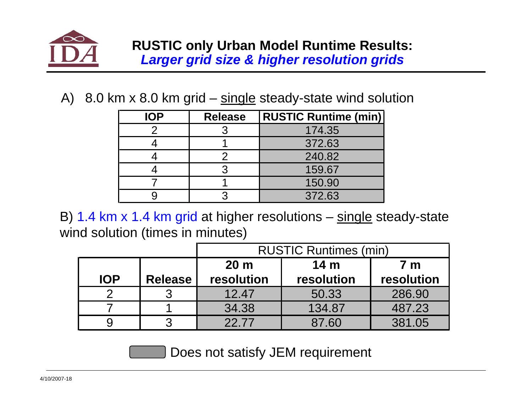

A) 8.0 km  $\times$  8.0 km grid – single steady-state wind solution

| <b>IOP</b> | <b>Release</b> | <b>RUSTIC Runtime (min)</b> |
|------------|----------------|-----------------------------|
|            |                | 174.35                      |
|            |                | 372.63                      |
|            |                | 240.82                      |
|            |                | 159.67                      |
|            |                | 150.90                      |
|            |                | 372.63                      |

B) 1.4 km x 1.4 km grid at higher resolutions – single steady-state wind solution (times in minutes)

|            |                | <b>RUSTIC Runtimes (min)</b> |                        |            |  |  |  |
|------------|----------------|------------------------------|------------------------|------------|--|--|--|
|            |                | 20 <sub>m</sub>              | 14 <sub>m</sub><br>7 m |            |  |  |  |
| <b>IOP</b> | <b>Release</b> | resolution                   | resolution             | resolution |  |  |  |
|            |                | 12.47                        | 50.33                  | 286.90     |  |  |  |
|            |                | 34.38                        | 134.87                 | 487.23     |  |  |  |
|            |                | 22.77                        | 87.60                  | 381.05     |  |  |  |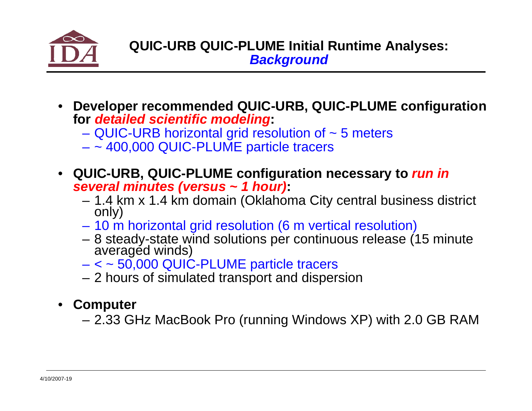

- **Developer recommended QUIC-URB, QUIC-PLUME configuration for** *detailed scientific modeling***:**
	- QUIC-URB horizontal grid resolution of ~ 5 meters
	- ~ 400,000 QUIC-PLUME particle tracers
- **QUIC-URB, QUIC-PLUME configuration necessary to** *run in several minutes (versus ~ 1 hour)***:**
	- 1.4 km x 1.4 km domain (Oklahoma City central business district only)
	- 10 m horizontal grid resolution (6 m vertical resolution)
	- 8 steady-state wind solutions per continuous release (15 minute averaged winds)
	- < ~ 50,000 QUIC-PLUME particle tracers
	- 2 hours of simulated transport and dispersion
- **Computer**
	- 2.33 GHz MacBook Pro (running Windows XP) with 2.0 GB RAM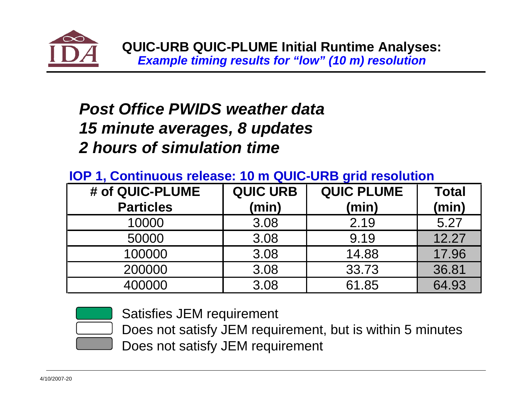

# *Post Office PWIDS weather data15 minute averages, 8 updates 2 hours of simulation time*

## **IOP 1, Continuous release: 10 m QUIC-URB grid resolution**

| # of QUIC-PLUME  | <b>QUIC URB</b> | <b>QUIC PLUME</b> | Total |
|------------------|-----------------|-------------------|-------|
| <b>Particles</b> | (min)           | (min)             | (min) |
| 10000            | 3.08            | 2.19              | 5.27  |
| 50000            | 3.08            | 9.19              | 12.27 |
| 100000           | 3.08            | 14.88             | 17.96 |
| 200000           | 3.08            | 33.73             | 36.81 |
| 400000           | 3.08            | 61.85             | 64.93 |



Satisfies JEM requirement

Does not satisfy JEM requirement, but is within 5 minutes Does not satisfy JEM requirement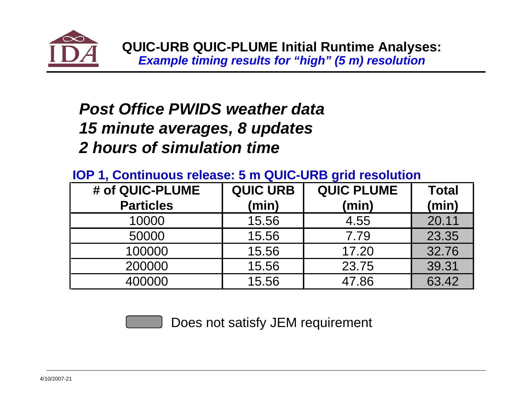

# *Post Office PWIDS weather data15 minute averages, 8 updates 2 hours of simulation time*

## **IOP 1, Continuous release: 5 m QUIC-URB grid resolution**

| # of QUIC-PLUME  | <b>QUIC URB</b> | <b>QUIC PLUME</b> | <b>Total</b> |
|------------------|-----------------|-------------------|--------------|
| <b>Particles</b> | (min)           | (min)             | (min)        |
| 10000            | 15.56           | 4.55              | 20.11        |
| 50000            | 15.56           | 7.79              | 23.35        |
| 100000           | 15.56           | 17.20             | 32.76        |
| 200000           | 15.56           | 23.75             | 39.31        |
| 400000           | 15.56           | 47.86             | 63.42        |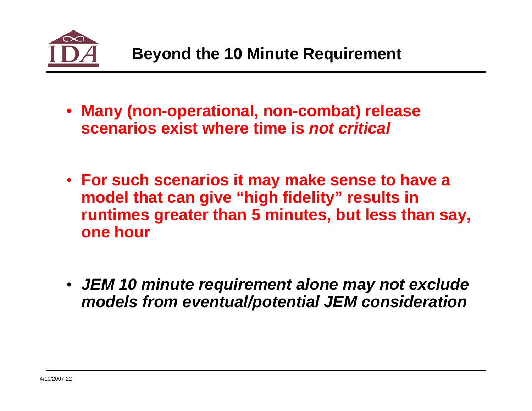

- **Many (non-operational, non-combat) release scenarios exist where time is** *not critical*
- **For such scenarios it may make sense to have a model that can give "high fidelity" results in runtimes greater than 5 minutes, but less than say, one hour**
- *JEM 10 minute requirement alone may not exclude models from eventual/potential JEM consideration*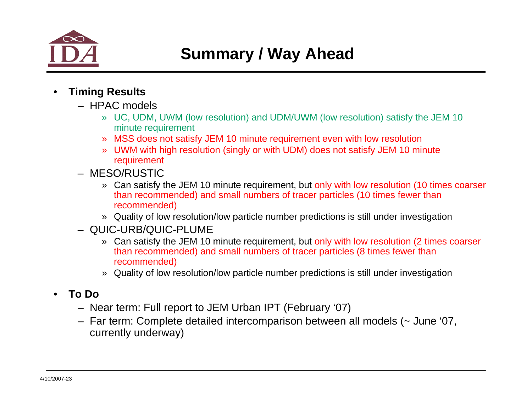

- **Timing Results**
	- HPAC models
		- » UC, UDM, UWM (low resolution) and UDM/UWM (low resolution) satisfy the JEM 10 minute requirement
		- » MSS does not satisfy JEM 10 minute requirement even with low resolution
		- » UWM with high resolution (singly or with UDM) does not satisfy JEM 10 minute requirement
	- MESO/RUSTIC
		- » Can satisfy the JEM 10 minute requirement, but only with low resolution (10 times coarser than recommended) and small numbers of tracer particles (10 times fewer than recommended)
		- » Quality of low resolution/low particle number predictions is still under investigation
	- QUIC-URB/QUIC-PLUME
		- » Can satisfy the JEM 10 minute requirement, but only with low resolution (2 times coarser than recommended) and small numbers of tracer particles (8 times fewer than recommended)
		- » Quality of low resolution/low particle number predictions is still under investigation
- **To Do**
	- Near term: Full report to JEM Urban IPT (February '07)
	- Far term: Complete detailed intercomparison between all models (~ June '07, currently underway)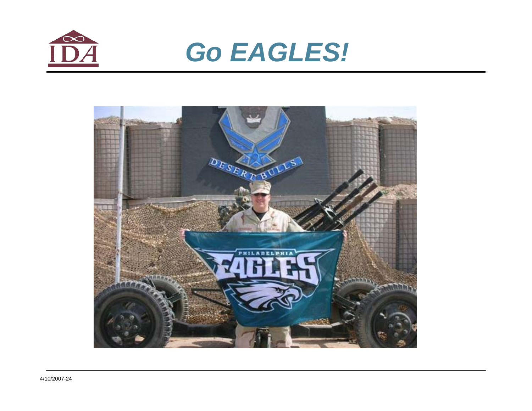

# *Go EAGLES!*

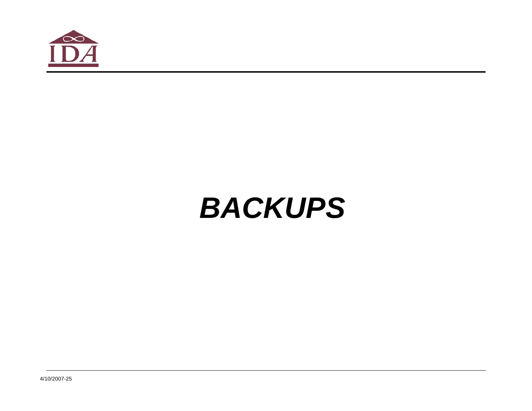

# *BACKUPS*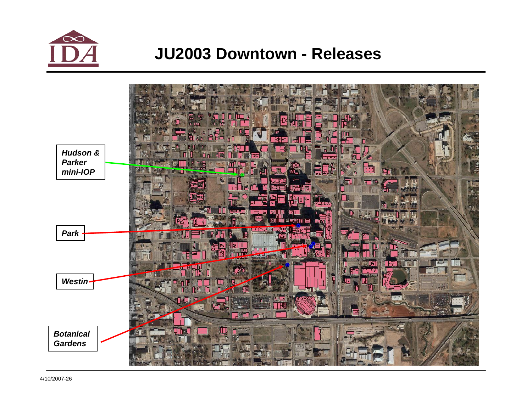

## **JU2003 Downtown - Releases**

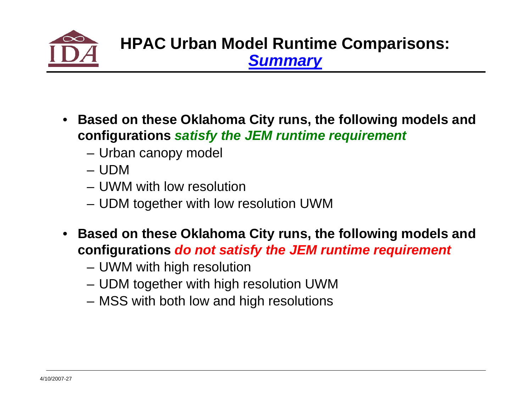

- **Based on these Oklahoma City runs, the following models and configurations** *satisfy the JEM runtime requirement*
	- Urban canopy model
	- UDM
	- UWM with low resolution
	- UDM together with low resolution UWM
- **Based on these Oklahoma City runs, the following models and configurations** *do not satisfy the JEM runtime requirement*
	- UWM with high resolution
	- UDM together with high resolution UWM
	- MSS with both low and high resolutions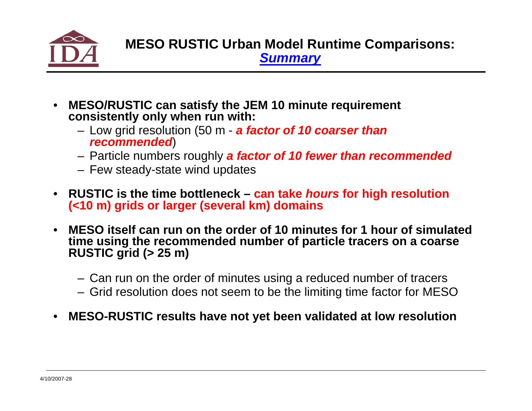

- **MESO/RUSTIC can satisfy the JEM 10 minute requirement consistently only when run with:**
	- Low grid resolution (50 m *a factor of 10 coarser than recommended*)
	- Particle numbers roughly *a factor of 10 fewer than recommended*
	- Few steady-state wind updates
- **RUSTIC is the time bottleneck can take** *hours* **for high resolution (<10 m) grids or larger (several km) domains**
- **MESO itself can run on the order of 10 minutes for 1 hour of simulated time using the recommended number of particle tracers on a coarse RUSTIC grid (> 25 m)**
	- Can run on the order of minutes using a reduced number of tracers
	- Grid resolution does not seem to be the limiting time factor for MESO
- **MESO-RUSTIC results have not yet been validated at low resolution**